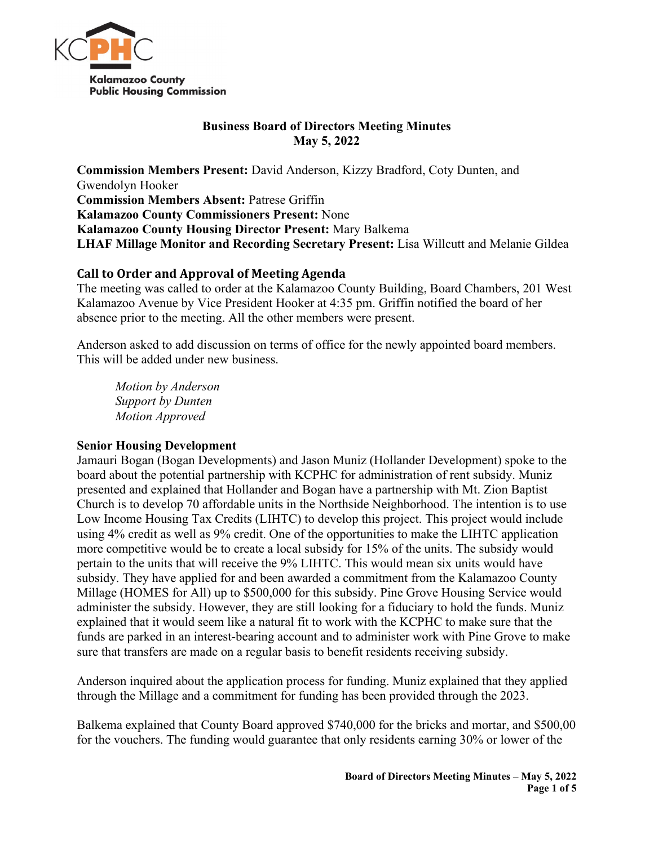

## **Business Board of Directors Meeting Minutes May 5, 2022**

**Commission Members Present:** David Anderson, Kizzy Bradford, Coty Dunten, and Gwendolyn Hooker **Commission Members Absent:** Patrese Griffin **Kalamazoo County Commissioners Present:** None **Kalamazoo County Housing Director Present:** Mary Balkema **LHAF Millage Monitor and Recording Secretary Present:** Lisa Willcutt and Melanie Gildea

# **Call to Order and Approval of Meeting Agenda**

The meeting was called to order at the Kalamazoo County Building, Board Chambers, 201 West Kalamazoo Avenue by Vice President Hooker at 4:35 pm. Griffin notified the board of her absence prior to the meeting. All the other members were present.

Anderson asked to add discussion on terms of office for the newly appointed board members. This will be added under new business.

*Motion by Anderson Support by Dunten Motion Approved*

# **Senior Housing Development**

Jamauri Bogan (Bogan Developments) and Jason Muniz (Hollander Development) spoke to the board about the potential partnership with KCPHC for administration of rent subsidy. Muniz presented and explained that Hollander and Bogan have a partnership with Mt. Zion Baptist Church is to develop 70 affordable units in the Northside Neighborhood. The intention is to use Low Income Housing Tax Credits (LIHTC) to develop this project. This project would include using 4% credit as well as 9% credit. One of the opportunities to make the LIHTC application more competitive would be to create a local subsidy for 15% of the units. The subsidy would pertain to the units that will receive the 9% LIHTC. This would mean six units would have subsidy. They have applied for and been awarded a commitment from the Kalamazoo County Millage (HOMES for All) up to \$500,000 for this subsidy. Pine Grove Housing Service would administer the subsidy. However, they are still looking for a fiduciary to hold the funds. Muniz explained that it would seem like a natural fit to work with the KCPHC to make sure that the funds are parked in an interest-bearing account and to administer work with Pine Grove to make sure that transfers are made on a regular basis to benefit residents receiving subsidy.

Anderson inquired about the application process for funding. Muniz explained that they applied through the Millage and a commitment for funding has been provided through the 2023.

Balkema explained that County Board approved \$740,000 for the bricks and mortar, and \$500,00 for the vouchers. The funding would guarantee that only residents earning 30% or lower of the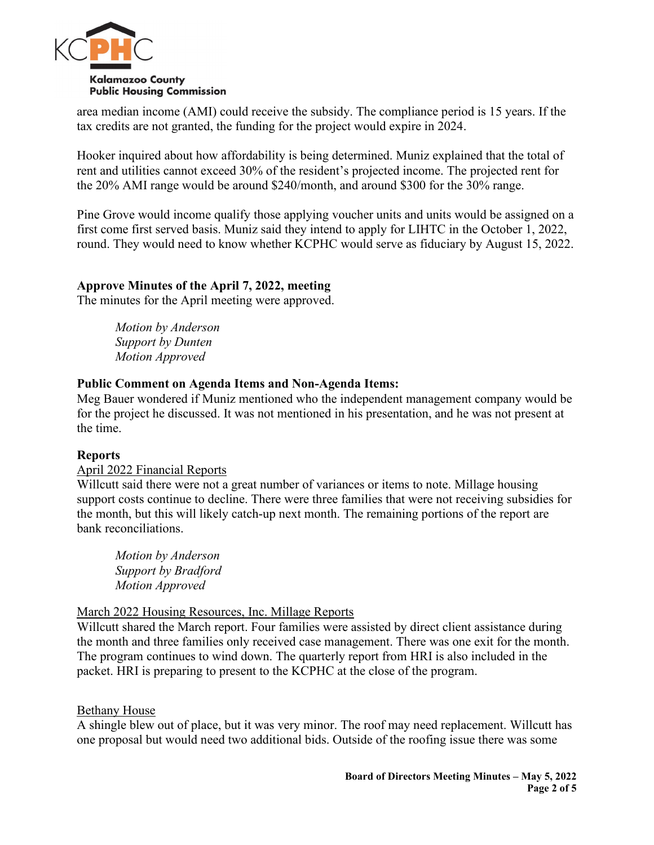

area median income (AMI) could receive the subsidy. The compliance period is 15 years. If the tax credits are not granted, the funding for the project would expire in 2024.

Hooker inquired about how affordability is being determined. Muniz explained that the total of rent and utilities cannot exceed 30% of the resident's projected income. The projected rent for the 20% AMI range would be around \$240/month, and around \$300 for the 30% range.

Pine Grove would income qualify those applying voucher units and units would be assigned on a first come first served basis. Muniz said they intend to apply for LIHTC in the October 1, 2022, round. They would need to know whether KCPHC would serve as fiduciary by August 15, 2022.

## **Approve Minutes of the April 7, 2022, meeting**

The minutes for the April meeting were approved.

*Motion by Anderson Support by Dunten Motion Approved*

### **Public Comment on Agenda Items and Non-Agenda Items:**

Meg Bauer wondered if Muniz mentioned who the independent management company would be for the project he discussed. It was not mentioned in his presentation, and he was not present at the time.

### **Reports**

### April 2022 Financial Reports

Willcutt said there were not a great number of variances or items to note. Millage housing support costs continue to decline. There were three families that were not receiving subsidies for the month, but this will likely catch-up next month. The remaining portions of the report are bank reconciliations.

*Motion by Anderson Support by Bradford Motion Approved*

### March 2022 Housing Resources, Inc. Millage Reports

Willcutt shared the March report. Four families were assisted by direct client assistance during the month and three families only received case management. There was one exit for the month. The program continues to wind down. The quarterly report from HRI is also included in the packet. HRI is preparing to present to the KCPHC at the close of the program.

### Bethany House

A shingle blew out of place, but it was very minor. The roof may need replacement. Willcutt has one proposal but would need two additional bids. Outside of the roofing issue there was some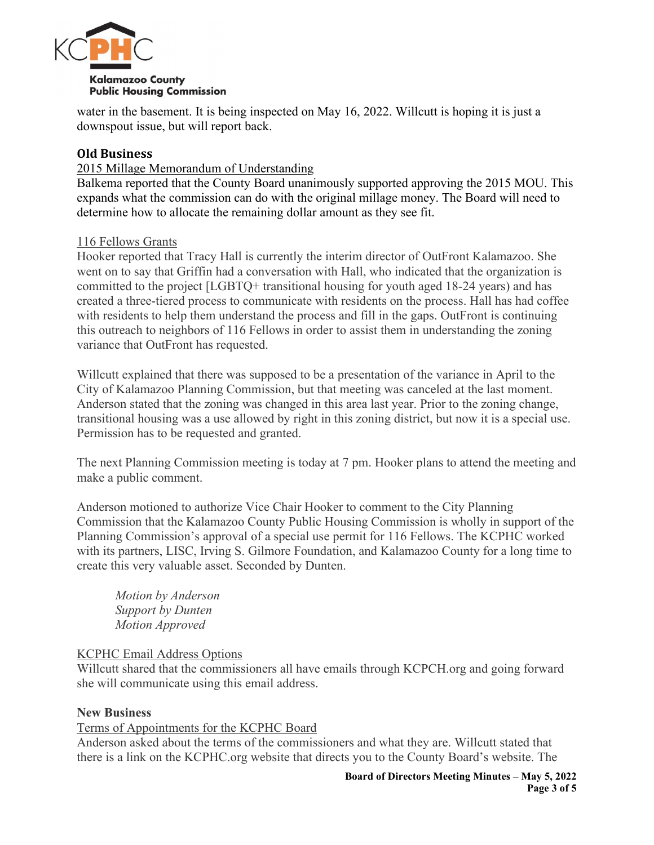

water in the basement. It is being inspected on May 16, 2022. Willcutt is hoping it is just a downspout issue, but will report back.

# **Old Business**

## 2015 Millage Memorandum of Understanding

Balkema reported that the County Board unanimously supported approving the 2015 MOU. This expands what the commission can do with the original millage money. The Board will need to determine how to allocate the remaining dollar amount as they see fit.

## 116 Fellows Grants

Hooker reported that Tracy Hall is currently the interim director of OutFront Kalamazoo. She went on to say that Griffin had a conversation with Hall, who indicated that the organization is committed to the project [LGBTQ+ transitional housing for youth aged 18-24 years) and has created a three-tiered process to communicate with residents on the process. Hall has had coffee with residents to help them understand the process and fill in the gaps. OutFront is continuing this outreach to neighbors of 116 Fellows in order to assist them in understanding the zoning variance that OutFront has requested.

Willcutt explained that there was supposed to be a presentation of the variance in April to the City of Kalamazoo Planning Commission, but that meeting was canceled at the last moment. Anderson stated that the zoning was changed in this area last year. Prior to the zoning change, transitional housing was a use allowed by right in this zoning district, but now it is a special use. Permission has to be requested and granted.

The next Planning Commission meeting is today at 7 pm. Hooker plans to attend the meeting and make a public comment.

Anderson motioned to authorize Vice Chair Hooker to comment to the City Planning Commission that the Kalamazoo County Public Housing Commission is wholly in support of the Planning Commission's approval of a special use permit for 116 Fellows. The KCPHC worked with its partners, LISC, Irving S. Gilmore Foundation, and Kalamazoo County for a long time to create this very valuable asset. Seconded by Dunten.

*Motion by Anderson Support by Dunten Motion Approved*

# KCPHC Email Address Options

Willcutt shared that the commissioners all have emails through KCPCH.org and going forward she will communicate using this email address.

# **New Business**

### Terms of Appointments for the KCPHC Board

Anderson asked about the terms of the commissioners and what they are. Willcutt stated that there is a link on the KCPHC.org website that directs you to the County Board's website. The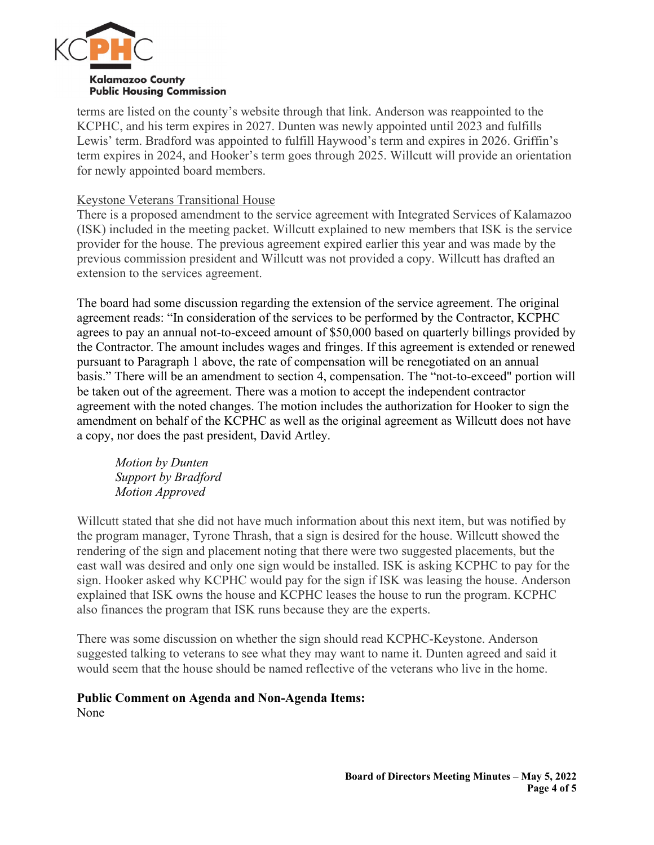

terms are listed on the county's website through that link. Anderson was reappointed to the KCPHC, and his term expires in 2027. Dunten was newly appointed until 2023 and fulfills Lewis' term. Bradford was appointed to fulfill Haywood's term and expires in 2026. Griffin's term expires in 2024, and Hooker's term goes through 2025. Willcutt will provide an orientation for newly appointed board members.

## Keystone Veterans Transitional House

There is a proposed amendment to the service agreement with Integrated Services of Kalamazoo (ISK) included in the meeting packet. Willcutt explained to new members that ISK is the service provider for the house. The previous agreement expired earlier this year and was made by the previous commission president and Willcutt was not provided a copy. Willcutt has drafted an extension to the services agreement.

The board had some discussion regarding the extension of the service agreement. The original agreement reads: "In consideration of the services to be performed by the Contractor, KCPHC agrees to pay an annual not-to-exceed amount of \$50,000 based on quarterly billings provided by the Contractor. The amount includes wages and fringes. If this agreement is extended or renewed pursuant to Paragraph 1 above, the rate of compensation will be renegotiated on an annual basis." There will be an amendment to section 4, compensation. The "not-to-exceed" portion will be taken out of the agreement. There was a motion to accept the independent contractor agreement with the noted changes. The motion includes the authorization for Hooker to sign the amendment on behalf of the KCPHC as well as the original agreement as Willcutt does not have a copy, nor does the past president, David Artley.

*Motion by Dunten Support by Bradford Motion Approved*

Willcutt stated that she did not have much information about this next item, but was notified by the program manager, Tyrone Thrash, that a sign is desired for the house. Willcutt showed the rendering of the sign and placement noting that there were two suggested placements, but the east wall was desired and only one sign would be installed. ISK is asking KCPHC to pay for the sign. Hooker asked why KCPHC would pay for the sign if ISK was leasing the house. Anderson explained that ISK owns the house and KCPHC leases the house to run the program. KCPHC also finances the program that ISK runs because they are the experts.

There was some discussion on whether the sign should read KCPHC-Keystone. Anderson suggested talking to veterans to see what they may want to name it. Dunten agreed and said it would seem that the house should be named reflective of the veterans who live in the home.

# **Public Comment on Agenda and Non-Agenda Items:**

None